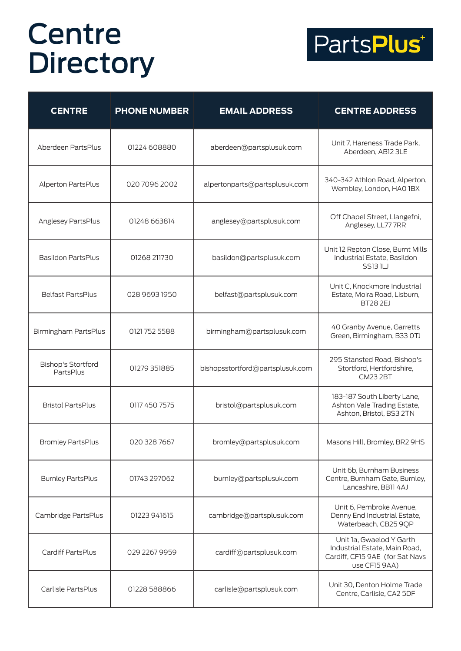

| <b>CENTRE</b>                          | <b>PHONE NUMBER</b> | <b>EMAIL ADDRESS</b>             | <b>CENTRE ADDRESS</b>                                                                                         |
|----------------------------------------|---------------------|----------------------------------|---------------------------------------------------------------------------------------------------------------|
| Aberdeen PartsPlus                     | 01224 608880        | aberdeen@partsplusuk.com         | Unit 7, Hareness Trade Park,<br>Aberdeen, AB12 3LE                                                            |
| Alperton PartsPlus                     | 020 7096 2002       | alpertonparts@partsplusuk.com    | 340-342 Athlon Road, Alperton,<br>Wembley, London, HAO 1BX                                                    |
| Anglesey PartsPlus                     | 01248 663814        | anglesey@partsplusuk.com         | Off Chapel Street, Llangefni,<br>Anglesey, LL77 7RR                                                           |
| Basildon PartsPlus                     | 01268 211730        | basildon@partsplusuk.com         | Unit 12 Repton Close, Burnt Mills<br>Industrial Estate, Basildon<br><b>SS131LJ</b>                            |
| <b>Belfast PartsPlus</b>               | 028 9693 1950       | belfast@partsplusuk.com          | Unit C, Knockmore Industrial<br>Estate, Moira Road, Lisburn,<br><b>BT28 2EJ</b>                               |
| Birmingham PartsPlus                   | 0121 752 5588       | birmingham@partsplusuk.com       | 40 Granby Avenue, Garretts<br>Green, Birmingham, B33 OTJ                                                      |
| <b>Bishop's Stortford</b><br>PartsPlus | 01279 351885        | bishopsstortford@partsplusuk.com | 295 Stansted Road, Bishop's<br>Stortford, Hertfordshire,<br><b>CM23 2BT</b>                                   |
| <b>Bristol PartsPlus</b>               | 0117 450 7575       | bristol@partsplusuk.com          | 183-187 South Liberty Lane,<br>Ashton Vale Trading Estate,<br>Ashton, Bristol, BS3 2TN                        |
| Bromley PartsPlus                      | 020 328 7667        | bromley@partsplusuk.com          | Masons Hill, Bromley, BR2 9HS                                                                                 |
| <b>Burnley PartsPlus</b>               | 01743 297062        | burnley@partsplusuk.com          | Unit 6b, Burnham Business<br>Centre, Burnham Gate, Burnley,<br>Lancashire, BB11 4AJ                           |
| Cambridge PartsPlus                    | 01223 941615        | cambridge@partsplusuk.com        | Unit 6, Pembroke Avenue,<br>Denny End Industrial Estate,<br>Waterbeach, CB25 9QP                              |
| Cardiff PartsPlus                      | 029 2267 9959       | cardiff@partsplusuk.com          | Unit 1a, Gwaelod Y Garth<br>Industrial Estate, Main Road,<br>Cardiff, CF15 9AE (for Sat Navs<br>use CF15 9AA) |
| Carlisle PartsPlus                     | 01228 588866        | carlisle@partsplusuk.com         | Unit 30, Denton Holme Trade<br>Centre, Carlisle, CA2 5DF                                                      |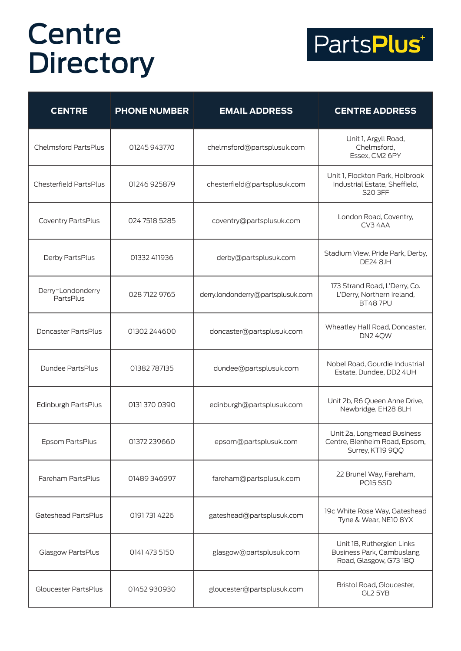

| <b>CENTRE</b>                  | <b>PHONE NUMBER</b> | <b>EMAIL ADDRESS</b>              | <b>CENTRE ADDRESS</b>                                                            |
|--------------------------------|---------------------|-----------------------------------|----------------------------------------------------------------------------------|
| Chelmsford PartsPlus           | 01245 943770        | chelmsford@partsplusuk.com        | Unit 1, Argyll Road,<br>Chelmsford,<br>Essex, CM2 6PY                            |
| Chesterfield PartsPlus         | 01246 925879        | chesterfield@partsplusuk.com      | Unit 1, Flockton Park, Holbrook<br>Industrial Estate, Sheffield,<br>S20 3FF      |
| Coventry PartsPlus             | 024 7518 5285       | coventry@partsplusuk.com          | London Road, Coventry,<br>CV3 4AA                                                |
| Derby PartsPlus                | 01332 411936        | derby@partsplusuk.com             | Stadium View, Pride Park, Derby,<br><b>DE24 8JH</b>                              |
| Derry~Londonderry<br>PartsPlus | 028 7122 9765       | derry.londonderry@partsplusuk.com | 173 Strand Road, L'Derry, Co.<br>L'Derry, Northern Ireland,<br><b>BT487PU</b>    |
| Doncaster PartsPlus            | 01302 244600        | doncaster@partsplusuk.com         | Wheatley Hall Road, Doncaster,<br>DN2 4QW                                        |
| Dundee PartsPlus               | 01382787135         | dundee@partsplusuk.com            | Nobel Road, Gourdie Industrial<br>Estate, Dundee, DD2 4UH                        |
| Edinburgh PartsPlus            | 0131 370 0390       | edinburgh@partsplusuk.com         | Unit 2b, R6 Queen Anne Drive,<br>Newbridge, EH28 8LH                             |
| Epsom PartsPlus                | 01372 239660        | epsom@partsplusuk.com             | Unit 2a, Longmead Business<br>Centre, Blenheim Road, Epsom,<br>Surrey, KT19 9QQ  |
| Fareham PartsPlus              | 01489 346997        | fareham@partsplusuk.com           | 22 Brunel Way, Fareham,<br><b>PO15 5SD</b>                                       |
| Gateshead PartsPlus            | 01917314226         | gateshead@partsplusuk.com         | 19c White Rose Way, Gateshead<br>Tyne & Wear, NE10 8YX                           |
| Glasgow PartsPlus              | 0141 473 5150       | glasgow@partsplusuk.com           | Unit 1B, Rutherglen Links<br>Business Park, Cambuslang<br>Road, Glasgow, G73 IBQ |
| Gloucester PartsPlus           | 01452 930930        | gloucester@partsplusuk.com        | Bristol Road, Gloucester,<br>GL2 5YB                                             |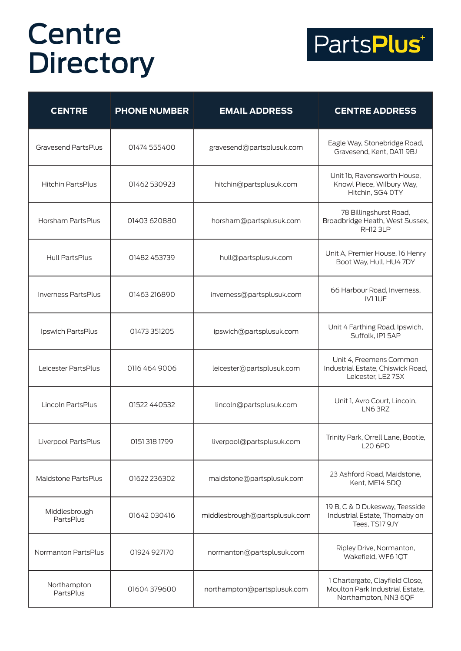

| <b>CENTRE</b>              | <b>PHONE NUMBER</b> | <b>EMAIL ADDRESS</b>          | <b>CENTRE ADDRESS</b>                                                                      |
|----------------------------|---------------------|-------------------------------|--------------------------------------------------------------------------------------------|
| <b>Gravesend PartsPlus</b> | 01474 555400        | gravesend@partsplusuk.com     | Eagle Way, Stonebridge Road,<br>Gravesend, Kent, DA11 9BJ                                  |
| <b>Hitchin PartsPlus</b>   | 01462 530923        | hitchin@partsplusuk.com       | Unit 1b, Ravensworth House,<br>Knowl Piece, Wilbury Way,<br>Hitchin, SG4 0TY               |
| Horsham PartsPlus          | 01403 620880        | horsham@partsplusuk.com       | 78 Billingshurst Road,<br>Broadbridge Heath, West Sussex,<br>RH <sub>12</sub> 3LP          |
| Hull PartsPlus             | 01482 453739        | hull@partsplusuk.com          | Unit A, Premier House, 16 Henry<br>Boot Way, Hull, HU4 7DY                                 |
| <b>Inverness PartsPlus</b> | 01463216890         | inverness@partsplusuk.com     | 66 Harbour Road, Inverness,<br><b>IV1IUF</b>                                               |
| Ipswich PartsPlus          | 01473 351205        | ipswich@partsplusuk.com       | Unit 4 Farthing Road, Ipswich,<br>Suffolk, IP1 5AP                                         |
| Leicester PartsPlus        | 0116 464 9006       | leicester@partsplusuk.com     | Unit 4, Freemens Common<br>Industrial Estate, Chiswick Road,<br>Leicester, LE2 7SX         |
| Lincoln PartsPlus          | 01522 440532        | lincoln@partsplusuk.com       | Unit 1, Avro Court, Lincoln,<br>LN6 3RZ                                                    |
| Liverpool PartsPlus        | 01513181799         | liverpool@partsplusuk.com     | Trinity Park, Orrell Lane, Bootle,<br><b>L20 6PD</b>                                       |
| Maidstone PartsPlus        | 01622 236302        | maidstone@partsplusuk.com     | 23 Ashford Road, Maidstone,<br>Kent, ME14 5DQ                                              |
| Middlesbrough<br>PartsPlus | 01642 030416        | middlesbrough@partsplusuk.com | 19 B, C & D Dukesway, Teesside<br>Industrial Estate, Thornaby on<br>Tees, TS17 9JY         |
| Normanton PartsPlus        | 01924 927170        | normanton@partsplusuk.com     | Ripley Drive, Normanton,<br>Wakefield, WF6 1QT                                             |
| Northampton<br>PartsPlus   | 01604 379600        | northampton@partsplusuk.com   | 1 Chartergate, Clayfield Close,<br>Moulton Park Industrial Estate,<br>Northampton, NN3 6QF |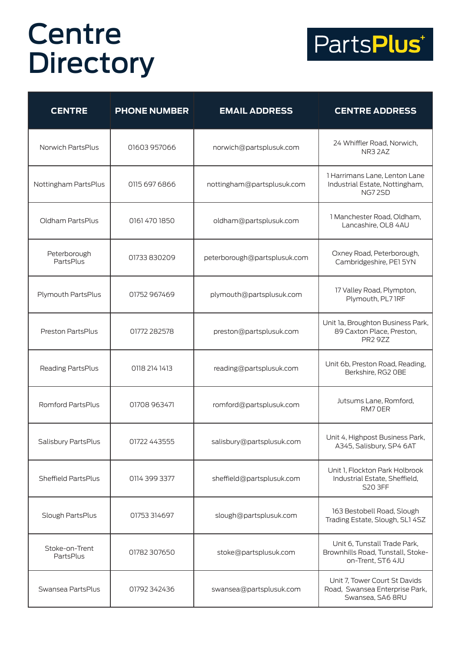

| <b>CENTRE</b>               | <b>PHONE NUMBER</b> | <b>EMAIL ADDRESS</b>         | <b>CENTRE ADDRESS</b>                                                                  |
|-----------------------------|---------------------|------------------------------|----------------------------------------------------------------------------------------|
| Norwich PartsPlus           | 01603 957066        | norwich@partsplusuk.com      | 24 Whiffler Road, Norwich,<br>NR32AZ                                                   |
| Nottingham PartsPlus        | 0115 697 6866       | nottingham@partsplusuk.com   | 1 Harrimans Lane, Lenton Lane<br>Industrial Estate, Nottingham,<br>NG72SD              |
| Oldham PartsPlus            | 0161 470 1850       | oldham@partsplusuk.com       | 1 Manchester Road, Oldham,<br>Lancashire, OL8 4AU                                      |
| Peterborough<br>PartsPlus   | 01733 830209        | peterborough@partsplusuk.com | Oxney Road, Peterborough,<br>Cambridgeshire, PE1 5YN                                   |
| Plymouth PartsPlus          | 01752 967469        | plymouth@partsplusuk.com     | 17 Valley Road, Plympton,<br>Plymouth, PL7 IRF                                         |
| Preston PartsPlus           | 01772 282578        | preston@partsplusuk.com      | Unit 1a, Broughton Business Park,<br>89 Caxton Place, Preston,<br><b>PR2 9ZZ</b>       |
| Reading PartsPlus           | 0118 214 1413       | reading@partsplusuk.com      | Unit 6b, Preston Road, Reading,<br>Berkshire, RG2 OBE                                  |
| Romford PartsPlus           | 01708 963471        | romford@partsplusuk.com      | Jutsums Lane, Romford,<br>RM7 OER                                                      |
| Salisbury PartsPlus         | 01722 443555        | salisbury@partsplusuk.com    | Unit 4, Highpost Business Park,<br>A345, Salisbury, SP4 6AT                            |
| Sheffield PartsPlus         | 0114 399 3377       | sheffield@partsplusuk.com    | Unit 1, Flockton Park Holbrook<br>Industrial Estate, Sheffield,<br><b>S20 3FF</b>      |
| Slough PartsPlus            | 01753 314697        | slough@partsplusuk.com       | 163 Bestobell Road, Slough<br>Trading Estate, Slough, SL1 4SZ                          |
| Stoke-on-Trent<br>PartsPlus | 01782 307650        | stoke@partsplusuk.com        | Unit 6, Tunstall Trade Park,<br>Brownhills Road, Tunstall, Stoke-<br>on-Trent, ST6 4JU |
| Swansea PartsPlus           | 01792 342436        | swansea@partsplusuk.com      | Unit 7, Tower Court St Davids<br>Road, Swansea Enterprise Park,<br>Swansea, SA6 8RU    |